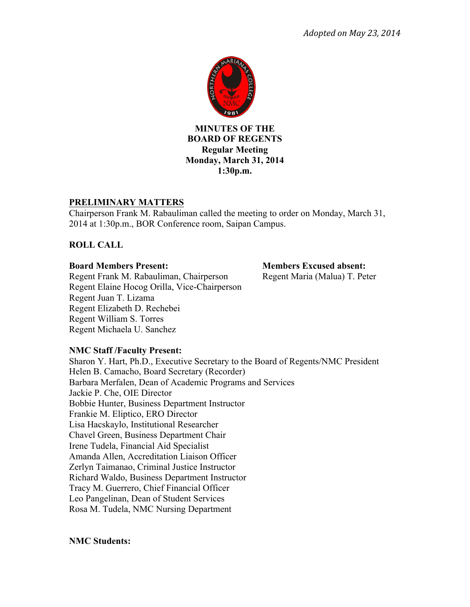

**MINUTES OF THE BOARD OF REGENTS Regular Meeting Monday, March 31, 2014 1:30p.m.**

# **PRELIMINARY MATTERS**

Chairperson Frank M. Rabauliman called the meeting to order on Monday, March 31, 2014 at 1:30p.m., BOR Conference room, Saipan Campus.

# **ROLL CALL**

Regent Frank M. Rabauliman, Chairperson Regent Maria (Malua) T. Peter Regent Elaine Hocog Orilla, Vice-Chairperson Regent Juan T. Lizama Regent Elizabeth D. Rechebei Regent William S. Torres Regent Michaela U. Sanchez

**Board Members Present: Members Excused absent:**

# **NMC Staff /Faculty Present:**

Sharon Y. Hart, Ph.D., Executive Secretary to the Board of Regents/NMC President Helen B. Camacho, Board Secretary (Recorder) Barbara Merfalen, Dean of Academic Programs and Services Jackie P. Che, OIE Director Bobbie Hunter, Business Department Instructor Frankie M. Eliptico, ERO Director Lisa Hacskaylo, Institutional Researcher Chavel Green, Business Department Chair Irene Tudela, Financial Aid Specialist Amanda Allen, Accreditation Liaison Officer Zerlyn Taimanao, Criminal Justice Instructor Richard Waldo, Business Department Instructor Tracy M. Guerrero, Chief Financial Officer Leo Pangelinan, Dean of Student Services Rosa M. Tudela, NMC Nursing Department

## **NMC Students:**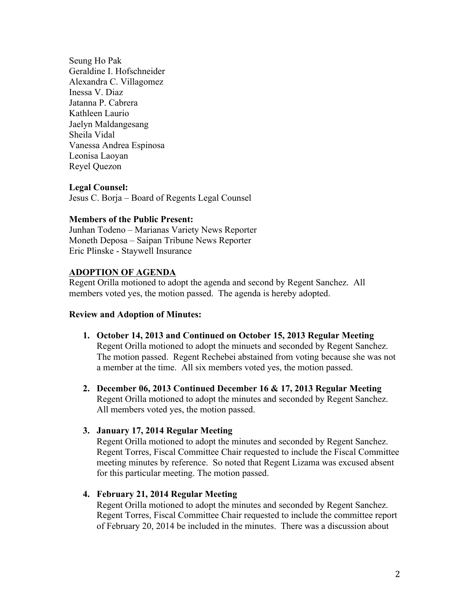Seung Ho Pak Geraldine I. Hofschneider Alexandra C. Villagomez Inessa V. Diaz Jatanna P. Cabrera Kathleen Laurio Jaelyn Maldangesang Sheila Vidal Vanessa Andrea Espinosa Leonisa Laoyan Reyel Quezon

## **Legal Counsel:**

Jesus C. Borja – Board of Regents Legal Counsel

### **Members of the Public Present:**

Junhan Todeno – Marianas Variety News Reporter Moneth Deposa – Saipan Tribune News Reporter Eric Plinske - Staywell Insurance

### **ADOPTION OF AGENDA**

Regent Orilla motioned to adopt the agenda and second by Regent Sanchez. All members voted yes, the motion passed. The agenda is hereby adopted.

### **Review and Adoption of Minutes:**

- **1. October 14, 2013 and Continued on October 15, 2013 Regular Meeting**  Regent Orilla motioned to adopt the minuets and seconded by Regent Sanchez. The motion passed. Regent Rechebei abstained from voting because she was not a member at the time. All six members voted yes, the motion passed.
- **2. December 06, 2013 Continued December 16 & 17, 2013 Regular Meeting** Regent Orilla motioned to adopt the minutes and seconded by Regent Sanchez. All members voted yes, the motion passed.

### **3. January 17, 2014 Regular Meeting**

Regent Orilla motioned to adopt the minutes and seconded by Regent Sanchez. Regent Torres, Fiscal Committee Chair requested to include the Fiscal Committee meeting minutes by reference. So noted that Regent Lizama was excused absent for this particular meeting. The motion passed.

### **4. February 21, 2014 Regular Meeting**

Regent Orilla motioned to adopt the minutes and seconded by Regent Sanchez. Regent Torres, Fiscal Committee Chair requested to include the committee report of February 20, 2014 be included in the minutes. There was a discussion about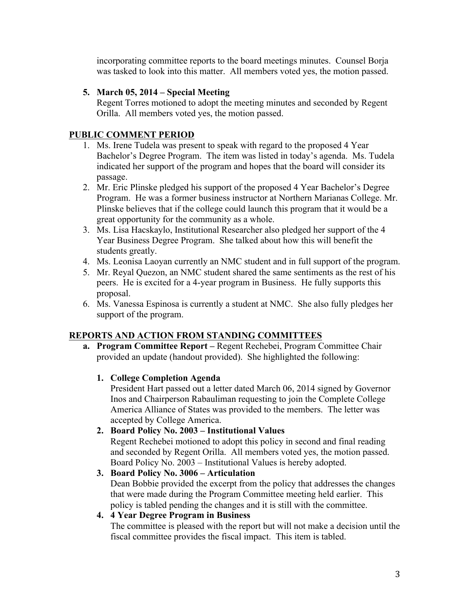incorporating committee reports to the board meetings minutes. Counsel Borja was tasked to look into this matter. All members voted yes, the motion passed.

# **5. March 05, 2014 – Special Meeting**

Regent Torres motioned to adopt the meeting minutes and seconded by Regent Orilla. All members voted yes, the motion passed.

# **PUBLIC COMMENT PERIOD**

- 1. Ms. Irene Tudela was present to speak with regard to the proposed 4 Year Bachelor's Degree Program. The item was listed in today's agenda. Ms. Tudela indicated her support of the program and hopes that the board will consider its passage.
- 2. Mr. Eric Plinske pledged his support of the proposed 4 Year Bachelor's Degree Program. He was a former business instructor at Northern Marianas College. Mr. Plinske believes that if the college could launch this program that it would be a great opportunity for the community as a whole.
- 3. Ms. Lisa Hacskaylo, Institutional Researcher also pledged her support of the 4 Year Business Degree Program. She talked about how this will benefit the students greatly.
- 4. Ms. Leonisa Laoyan currently an NMC student and in full support of the program.
- 5. Mr. Reyal Quezon, an NMC student shared the same sentiments as the rest of his peers. He is excited for a 4-year program in Business. He fully supports this proposal.
- 6. Ms. Vanessa Espinosa is currently a student at NMC. She also fully pledges her support of the program.

# **REPORTS AND ACTION FROM STANDING COMMITTEES**

- **a. Program Committee Report –** Regent Rechebei, Program Committee Chair provided an update (handout provided). She highlighted the following:
	- **1. College Completion Agenda**

President Hart passed out a letter dated March 06, 2014 signed by Governor Inos and Chairperson Rabauliman requesting to join the Complete College America Alliance of States was provided to the members. The letter was accepted by College America.

**2. Board Policy No. 2003 – Institutional Values**  Regent Rechebei motioned to adopt this policy in second and final reading and seconded by Regent Orilla. All members voted yes, the motion passed. Board Policy No. 2003 – Institutional Values is hereby adopted.

# **3. Board Policy No. 3006 – Articulation**  Dean Bobbie provided the excerpt from the policy that addresses the changes that were made during the Program Committee meeting held earlier. This policy is tabled pending the changes and it is still with the committee.

# **4. 4 Year Degree Program in Business**

The committee is pleased with the report but will not make a decision until the fiscal committee provides the fiscal impact. This item is tabled.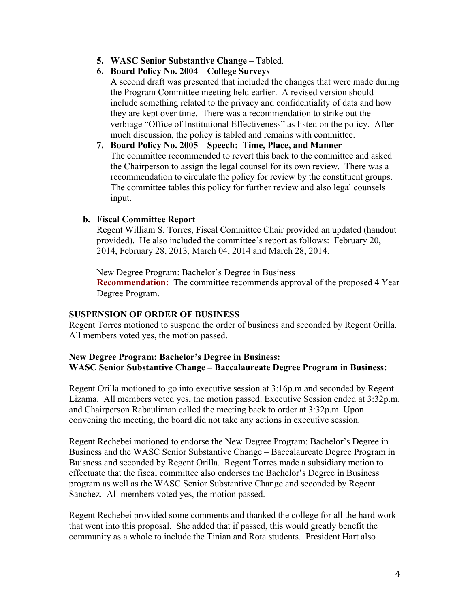- **5. WASC Senior Substantive Change** Tabled.
- **6. Board Policy No. 2004 – College Surveys**

A second draft was presented that included the changes that were made during the Program Committee meeting held earlier. A revised version should include something related to the privacy and confidentiality of data and how they are kept over time. There was a recommendation to strike out the verbiage "Office of Institutional Effectiveness" as listed on the policy. After much discussion, the policy is tabled and remains with committee.

**7. Board Policy No. 2005 – Speech: Time, Place, and Manner**  The committee recommended to revert this back to the committee and asked the Chairperson to assign the legal counsel for its own review. There was a recommendation to circulate the policy for review by the constituent groups. The committee tables this policy for further review and also legal counsels input.

## **b. Fiscal Committee Report**

Regent William S. Torres, Fiscal Committee Chair provided an updated (handout provided). He also included the committee's report as follows: February 20, 2014, February 28, 2013, March 04, 2014 and March 28, 2014.

New Degree Program: Bachelor's Degree in Business **Recommendation:** The committee recommends approval of the proposed 4 Year Degree Program.

### **SUSPENSION OF ORDER OF BUSINESS**

Regent Torres motioned to suspend the order of business and seconded by Regent Orilla. All members voted yes, the motion passed.

## **New Degree Program: Bachelor's Degree in Business: WASC Senior Substantive Change – Baccalaureate Degree Program in Business:**

Regent Orilla motioned to go into executive session at 3:16p.m and seconded by Regent Lizama. All members voted yes, the motion passed. Executive Session ended at 3:32p.m. and Chairperson Rabauliman called the meeting back to order at 3:32p.m. Upon convening the meeting, the board did not take any actions in executive session.

Regent Rechebei motioned to endorse the New Degree Program: Bachelor's Degree in Business and the WASC Senior Substantive Change – Baccalaureate Degree Program in Buisness and seconded by Regent Orilla. Regent Torres made a subsidiary motion to effectuate that the fiscal committee also endorses the Bachelor's Degree in Business program as well as the WASC Senior Substantive Change and seconded by Regent Sanchez. All members voted yes, the motion passed.

Regent Rechebei provided some comments and thanked the college for all the hard work that went into this proposal. She added that if passed, this would greatly benefit the community as a whole to include the Tinian and Rota students. President Hart also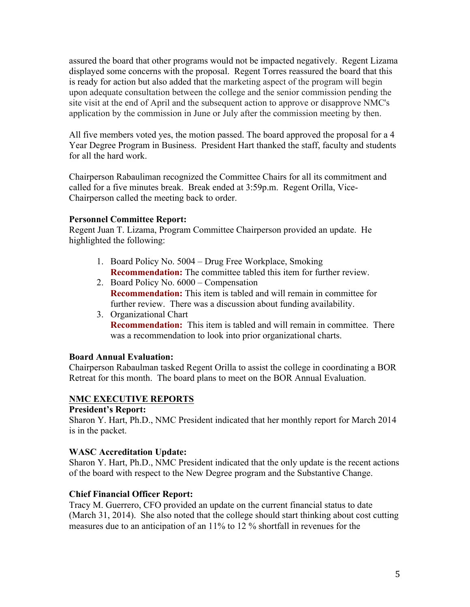assured the board that other programs would not be impacted negatively. Regent Lizama displayed some concerns with the proposal. Regent Torres reassured the board that this is ready for action but also added that the marketing aspect of the program will begin upon adequate consultation between the college and the senior commission pending the site visit at the end of April and the subsequent action to approve or disapprove NMC's application by the commission in June or July after the commission meeting by then.

All five members voted yes, the motion passed. The board approved the proposal for a 4 Year Degree Program in Business. President Hart thanked the staff, faculty and students for all the hard work.

Chairperson Rabauliman recognized the Committee Chairs for all its commitment and called for a five minutes break. Break ended at 3:59p.m. Regent Orilla, Vice-Chairperson called the meeting back to order.

## **Personnel Committee Report:**

Regent Juan T. Lizama, Program Committee Chairperson provided an update. He highlighted the following:

- 1. Board Policy No. 5004 Drug Free Workplace, Smoking **Recommendation:** The committee tabled this item for further review.
- 2. Board Policy No. 6000 Compensation **Recommendation:** This item is tabled and will remain in committee for further review. There was a discussion about funding availability.
- 3. Organizational Chart **Recommendation:** This item is tabled and will remain in committee. There was a recommendation to look into prior organizational charts.

## **Board Annual Evaluation:**

Chairperson Rabaulman tasked Regent Orilla to assist the college in coordinating a BOR Retreat for this month. The board plans to meet on the BOR Annual Evaluation.

## **NMC EXECUTIVE REPORTS**

### **President's Report:**

Sharon Y. Hart, Ph.D., NMC President indicated that her monthly report for March 2014 is in the packet.

## **WASC Accreditation Update:**

Sharon Y. Hart, Ph.D., NMC President indicated that the only update is the recent actions of the board with respect to the New Degree program and the Substantive Change.

## **Chief Financial Officer Report:**

Tracy M. Guerrero, CFO provided an update on the current financial status to date (March 31, 2014). She also noted that the college should start thinking about cost cutting measures due to an anticipation of an 11% to 12 % shortfall in revenues for the